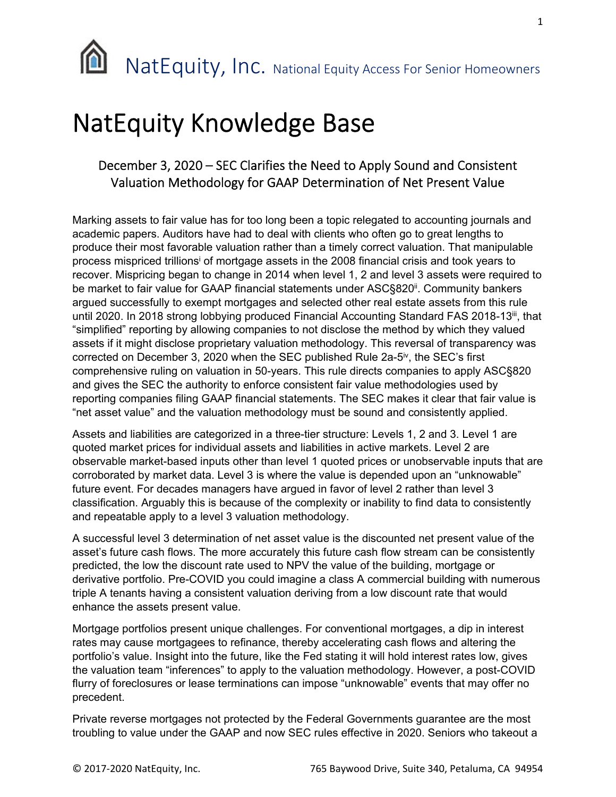## NatEquity Knowledge Base

## December 3, 2020 – SEC Clarifies the Need to Apply Sound and Consistent Valuation Methodology for GAAP Determination of Net Present Value

Marking assets to fair value has for too long been a topic relegated to accounting journals and academic papers. Auditors have had to deal with clients who often go to great lengths to produce their most favorable valuation rather than a timely correct valuation. That manipulable process mispriced trillions<sup>i</sup> of mortgage assets in the 2008 financial crisis and took years to recover. Mispricing began to change in 2014 when level 1, 2 and level 3 assets were required to be market to fair value for GAAP financial statements under ASC§820<sup>ii</sup>. Community bankers argued successfully to exempt mortgages and selected other real estate assets from this rule until 2020. In 2018 strong lobbying produced Financial Accounting Standard FAS 2018-13<sup>iii</sup>, that "simplified" reporting by allowing companies to not disclose the method by which they valued assets if it might disclose proprietary valuation methodology. This reversal of transparency was corrected on December 3, 2020 when the SEC published Rule 2a-5<sup>iv</sup>, the SEC's first comprehensive ruling on valuation in 50-years. This rule directs companies to apply ASC§820 and gives the SEC the authority to enforce consistent fair value methodologies used by reporting companies filing GAAP financial statements. The SEC makes it clear that fair value is "net asset value" and the valuation methodology must be sound and consistently applied.

Assets and liabilities are categorized in a three-tier structure: Levels 1, 2 and 3. Level 1 are quoted market prices for individual assets and liabilities in active markets. Level 2 are observable market-based inputs other than level 1 quoted prices or unobservable inputs that are corroborated by market data. Level 3 is where the value is depended upon an "unknowable" future event. For decades managers have argued in favor of level 2 rather than level 3 classification. Arguably this is because of the complexity or inability to find data to consistently and repeatable apply to a level 3 valuation methodology.

A successful level 3 determination of net asset value is the discounted net present value of the asset's future cash flows. The more accurately this future cash flow stream can be consistently predicted, the low the discount rate used to NPV the value of the building, mortgage or derivative portfolio. Pre-COVID you could imagine a class A commercial building with numerous triple A tenants having a consistent valuation deriving from a low discount rate that would enhance the assets present value.

Mortgage portfolios present unique challenges. For conventional mortgages, a dip in interest rates may cause mortgagees to refinance, thereby accelerating cash flows and altering the portfolio's value. Insight into the future, like the Fed stating it will hold interest rates low, gives the valuation team "inferences" to apply to the valuation methodology. However, a post-COVID flurry of foreclosures or lease terminations can impose "unknowable" events that may offer no precedent.

Private reverse mortgages not protected by the Federal Governments guarantee are the most troubling to value under the GAAP and now SEC rules effective in 2020. Seniors who takeout a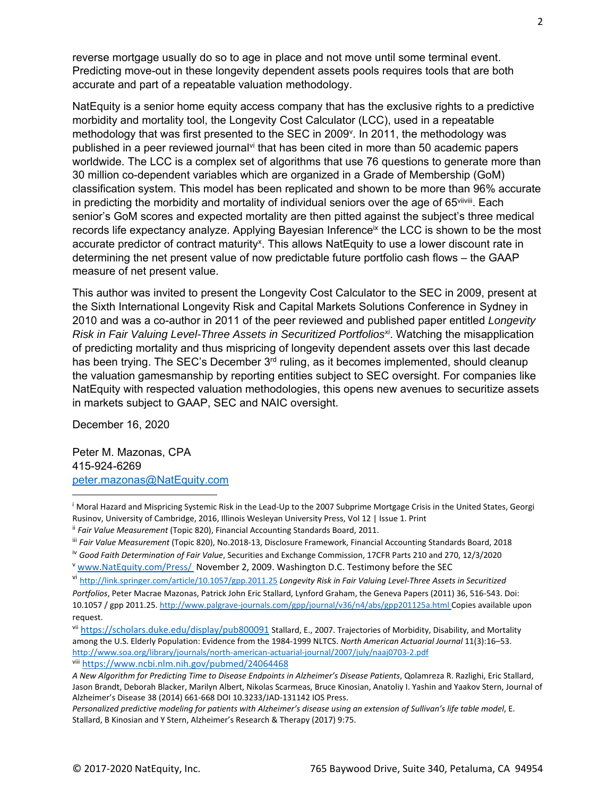reverse mortgage usually do so to age in place and not move until some terminal event. Predicting move-out in these longevity dependent assets pools requires tools that are both accurate and part of a repeatable valuation methodology.

NatEquity is a senior home equity access company that has the exclusive rights to a predictive morbidity and mortality tool, the Longevity Cost Calculator (LCC), used in a repeatable methodology that was first presented to the SEC in 2009<sup>y</sup>. In 2011, the methodology was published in a peer reviewed journal<sup>vi</sup> that has been cited in more than 50 academic papers worldwide. The LCC is a complex set of algorithms that use 76 questions to generate more than 30 million co-dependent variables which are organized in a Grade of Membership (GoM) classification system. This model has been replicated and shown to be more than 96% accurate in predicting the morbidity and mortality of individual seniors over the age of  $65$ <sup>viiviii</sup>. Each senior's GoM scores and expected mortality are then pitted against the subject's three medical records life expectancy analyze. Applying Bayesian Inference<sup>ix</sup> the LCC is shown to be the most accurate predictor of contract maturity<sup>x</sup>. This allows NatEquity to use a lower discount rate in determining the net present value of now predictable future portfolio cash flows – the GAAP measure of net present value.

This author was invited to present the Longevity Cost Calculator to the SEC in 2009, present at the Sixth International Longevity Risk and Capital Markets Solutions Conference in Sydney in 2010 and was a co-author in 2011 of the peer reviewed and published paper entitled *Longevity Risk in Fair Valuing Level-Three Assets in Securitized Portfolios<sup>xi</sup>. Watching the misapplication* of predicting mortality and thus mispricing of longevity dependent assets over this last decade has been trying. The SEC's December 3<sup>rd</sup> ruling, as it becomes implemented, should cleanup the valuation gamesmanship by reporting entities subject to SEC oversight. For companies like NatEquity with respected valuation methodologies, this opens new avenues to securitize assets in markets subject to GAAP, SEC and NAIC oversight.

December 16, 2020

Peter M. Mazonas, CPA 415-924-6269 peter.mazonas@NatEquity.com

<sup>&</sup>lt;sup>i</sup> Moral Hazard and Mispricing Systemic Risk in the Lead-Up to the 2007 Subprime Mortgage Crisis in the United States, Georgi Rusinov, University of Cambridge, 2016, Illinois Wesleyan University Press, Vol 12 | Issue 1. Print

ii *Fair Value Measurement* (Topic 820), Financial Accounting Standards Board, 2011.

iii *Fair Value Measurement* (Topic 820), No.2018‐13, Disclosure Framework, Financial Accounting Standards Board, 2018

iv *Good Faith Determination of Fair Value*, Securities and Exchange Commission, 17CFR Parts 210 and 270, 12/3/2020 <sup>v</sup> www.NatEquity.com/Press/ November 2, 2009. Washington D.C. Testimony before the SEC

vi http://link.springer.com/article/10.1057/gpp.2011.25 *Longevity Risk in Fair Valuing Level‐Three Assets in Securitized Portfolios*, Peter Macrae Mazonas, Patrick John Eric Stallard, Lynford Graham, the Geneva Papers (2011) 36, 516‐543. Doi: 10.1057 / gpp 2011.25. http://www.palgrave-journals.com/gpp/journal/v36/n4/abs/gpp201125a.html Copies available upon

request.

vii https://scholars.duke.edu/display/pub800091 Stallard, E., 2007. Trajectories of Morbidity, Disability, and Mortality among the U.S. Elderly Population: Evidence from the 1984‐1999 NLTCS. *North American Actuarial Journal* 11(3):16–53. http://www.soa.org/library/journals/north‐american‐actuarial‐journal/2007/july/naaj0703‐2.pdf viii https://www.ncbi.nlm.nih.gov/pubmed/24064468

*A New Algorithm for Predicting Time to Disease Endpoints in Alzheimer's Disease Patients*, Qolamreza R. Razlighi, Eric Stallard, Jason Brandt, Deborah Blacker, Marilyn Albert, Nikolas Scarmeas, Bruce Kinosian, Anatoliy I. Yashin and Yaakov Stern, Journal of Alzheimer's Disease 38 (2014) 661‐668 DOI 10.3233/JAD‐131142 IOS Press.

*Personalized predictive modeling for patients with Alzheimer's disease using an extension of Sullivan's life table model*, E. Stallard, B Kinosian and Y Stern, Alzheimer's Research & Therapy (2017) 9:75.